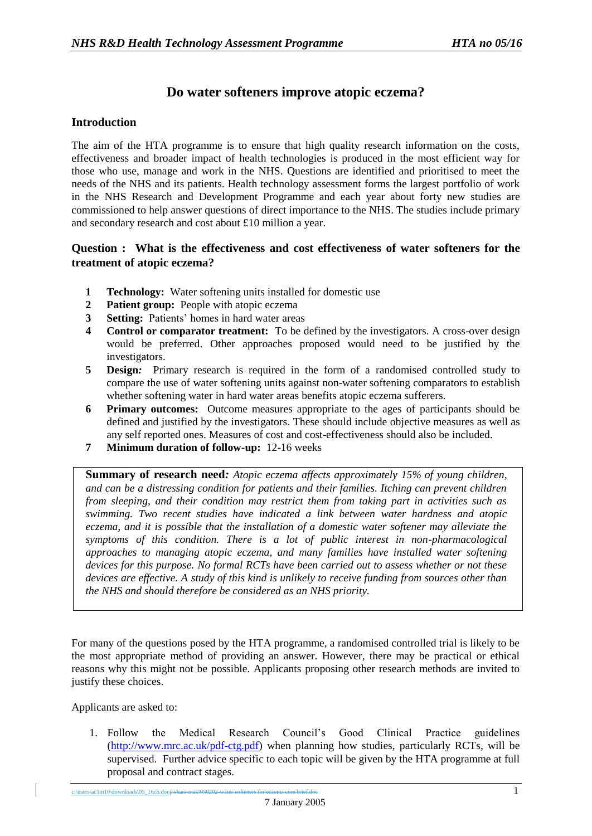# **Do water softeners improve atopic eczema?**

## **Introduction**

The aim of the HTA programme is to ensure that high quality research information on the costs, effectiveness and broader impact of health technologies is produced in the most efficient way for those who use, manage and work in the NHS. Questions are identified and prioritised to meet the needs of the NHS and its patients. Health technology assessment forms the largest portfolio of work in the NHS Research and Development Programme and each year about forty new studies are commissioned to help answer questions of direct importance to the NHS. The studies include primary and secondary research and cost about £10 million a year.

## **Question : What is the effectiveness and cost effectiveness of water softeners for the treatment of atopic eczema?**

- **1 Technology:** Water softening units installed for domestic use
- **2 Patient group:** People with atopic eczema
- **3 Setting:** Patients' homes in hard water areas
- **4 Control or comparator treatment:** To be defined by the investigators. A cross-over design would be preferred. Other approaches proposed would need to be justified by the investigators.
- **5 Design***:* Primary research is required in the form of a randomised controlled study to compare the use of water softening units against non-water softening comparators to establish whether softening water in hard water areas benefits atopic eczema sufferers.
- **6 Primary outcomes:** Outcome measures appropriate to the ages of participants should be defined and justified by the investigators. These should include objective measures as well as any self reported ones. Measures of cost and cost-effectiveness should also be included.
- **7 Minimum duration of follow-up:** 12-16 weeks

**Summary of research need***: Atopic eczema affects approximately 15% of young children, and can be a distressing condition for patients and their families. Itching can prevent children from sleeping, and their condition may restrict them from taking part in activities such as swimming. Two recent studies have indicated a link between water hardness and atopic eczema, and it is possible that the installation of a domestic water softener may alleviate the symptoms of this condition. There is a lot of public interest in non-pharmacological approaches to managing atopic eczema, and many families have installed water softening devices for this purpose. No formal RCTs have been carried out to assess whether or not these devices are effective. A study of this kind is unlikely to receive funding from sources other than the NHS and should therefore be considered as an NHS priority.*

For many of the questions posed by the HTA programme, a randomised controlled trial is likely to be the most appropriate method of providing an answer. However, there may be practical or ethical reasons why this might not be possible. Applicants proposing other research methods are invited to justify these choices.

Applicants are asked to:

1. Follow the Medical Research Council's Good Clinical Practice guidelines [\(http://www.mrc.ac.uk/pdf-ctg.pdf\)](http://www.mrc.ac.uk/pdf-ctg.pdf) when planning how studies, particularly RCTs, will be supervised. Further advice specific to each topic will be given by the HTA programme at full proposal and contract stages.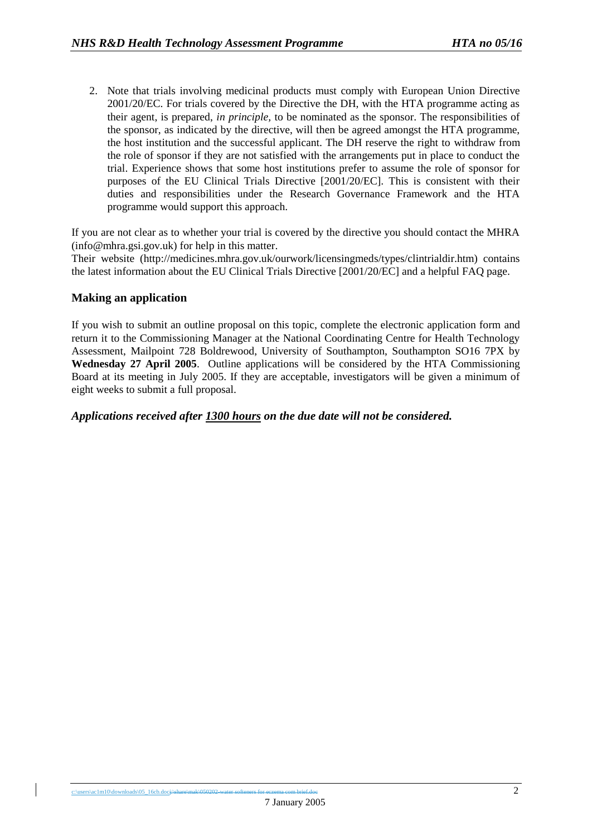2. Note that trials involving medicinal products must comply with European Union Directive 2001/20/EC. For trials covered by the Directive the DH, with the HTA programme acting as their agent, is prepared, *in principle,* to be nominated as the sponsor. The responsibilities of the sponsor, as indicated by the directive, will then be agreed amongst the HTA programme, the host institution and the successful applicant. The DH reserve the right to withdraw from the role of sponsor if they are not satisfied with the arrangements put in place to conduct the trial. Experience shows that some host institutions prefer to assume the role of sponsor for purposes of the EU Clinical Trials Directive [2001/20/EC]. This is consistent with their duties and responsibilities under the Research Governance Framework and the HTA programme would support this approach.

If you are not clear as to whether your trial is covered by the directive you should contact the MHRA (info@mhra.gsi.gov.uk) for help in this matter.

Their website (http://medicines.mhra.gov.uk/ourwork/licensingmeds/types/clintrialdir.htm) contains the latest information about the EU Clinical Trials Directive [2001/20/EC] and a helpful FAQ page.

## **Making an application**

If you wish to submit an outline proposal on this topic, complete the electronic application form and return it to the Commissioning Manager at the National Coordinating Centre for Health Technology Assessment, Mailpoint 728 Boldrewood, University of Southampton, Southampton SO16 7PX by **Wednesday 27 April 2005**.Outline applications will be considered by the HTA Commissioning Board at its meeting in July 2005. If they are acceptable, investigators will be given a minimum of eight weeks to submit a full proposal.

## *Applications received after 1300 hours on the due date will not be considered.*